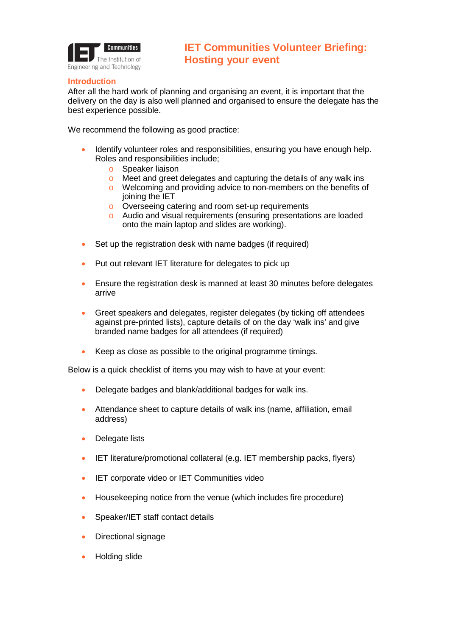

## **Introduction**

After all the hard work of planning and organising an event, it is important that the delivery on the day is also well planned and organised to ensure the delegate has the best experience possible.

We recommend the following as good practice:

- Identify volunteer roles and responsibilities, ensuring you have enough help. Roles and responsibilities include;
	- o Speaker liaison
	- o Meet and greet delegates and capturing the details of any walk ins
	- o Welcoming and providing advice to non-members on the benefits of joining the IET
	- o Overseeing catering and room set-up requirements
	- o Audio and visual requirements (ensuring presentations are loaded onto the main laptop and slides are working).
- Set up the registration desk with name badges (if required)
- Put out relevant IET literature for delegates to pick up
- Ensure the registration desk is manned at least 30 minutes before delegates arrive
- Greet speakers and delegates, register delegates (by ticking off attendees against pre-printed lists), capture details of on the day 'walk ins' and give branded name badges for all attendees (if required)
- Keep as close as possible to the original programme timings.

Below is a quick checklist of items you may wish to have at your event:

- Delegate badges and blank/additional badges for walk ins.
- Attendance sheet to capture details of walk ins (name, affiliation, email address)
- Delegate lists
- IET literature/promotional collateral (e.g. IET membership packs, flyers)
- IET corporate video or IET Communities video
- Housekeeping notice from the venue (which includes fire procedure)
- Speaker/IET staff contact details
- Directional signage
- Holding slide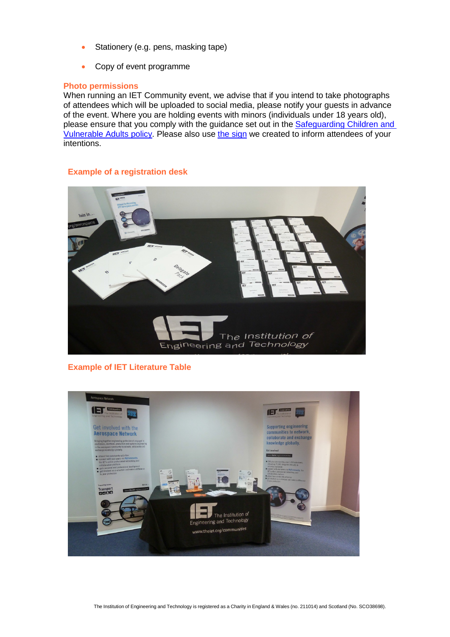- Stationery (e.g. pens, masking tape)
- Copy of event programme

## **Photo permissions**

When running an IET Community event, we advise that if you intend to take photographs of attendees which will be uploaded to social media, please notify your guests in advance of the event. Where you are holding events with minors (individuals under 18 years old), please ensure that you comply with the guidance set out in the Safeguarding Children and [Vulnerable Adults policy.](http://www.theiet.org/resources/teachers/safeguarding.cfm) Please also use [the sign](http://www.theiet.org/volunteers/active/resources/-documents/photography-sign.cfm?type=pdf) we created to inform attendees of your intentions.

## **Example of a registration desk**



## **Example of IET Literature Table**